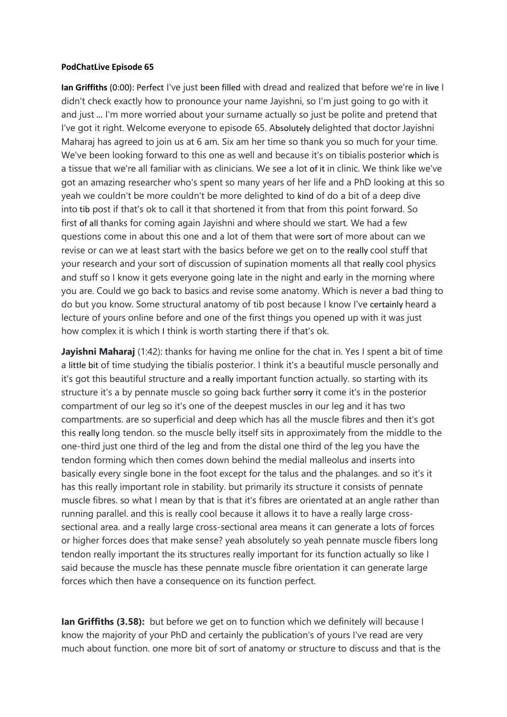## PodChatLive Episode 65

Ian Griffiths (0:00): Perfect I've just been filled with dread and realized that before we're in live I didn't check exactly how to pronounce your name Jayishni, so I'm just going to go with it and just … I'm more worried about your surname actually so just be polite and pretend that I've got it right. Welcome everyone to episode 65. Absolutely delighted that doctor Jayishni Maharaj has agreed to join us at 6 am. Six am her time so thank you so much for your time. We've been looking forward to this one as well and because it's on tibialis posterior which is a tissue that we're all familiar with as clinicians. We see a lot of it in clinic. We think like we've got an amazing researcher who's spent so many years of her life and a PhD looking at this so yeah we couldn't be more couldn't be more delighted to kind of do a bit of a deep dive into tib post if that's ok to call it that shortened it from that from this point forward. So first of all thanks for coming again Jayishni and where should we start. We had a few questions come in about this one and a lot of them that were sort of more about can we revise or can we at least start with the basics before we get on to the really cool stuff that your research and your sort of discussion of supination moments all that really cool physics and stuff so I know it gets everyone going late in the night and early in the morning where you are. Could we go back to basics and revise some anatomy. Which is never a bad thing to do but you know. Some structural anatomy of tib post because I know I've certainly heard a lecture of yours online before and one of the first things you opened up with it was just how complex it is which I think is worth starting there if that's ok.

Jayishni Maharaj (1:42): thanks for having me online for the chat in. Yes I spent a bit of time a little bit of time studying the tibialis posterior. I think it's a beautiful muscle personally and it's got this beautiful structure and a really important function actually. so starting with its structure it's a by pennate muscle so going back further sorry it come it's in the posterior compartment of our leg so it's one of the deepest muscles in our leg and it has two compartments. are so superficial and deep which has all the muscle fibres and then it's got this really long tendon. so the muscle belly itself sits in approximately from the middle to the one-third just one third of the leg and from the distal one third of the leg you have the tendon forming which then comes down behind the medial malleolus and inserts into basically every single bone in the foot except for the talus and the phalanges. and so it's it has this really important role in stability. but primarily its structure it consists of pennate muscle fibres. so what I mean by that is that it's fibres are orientated at an angle rather than running parallel. and this is really cool because it allows it to have a really large crosssectional area. and a really large cross-sectional area means it can generate a lots of forces or higher forces does that make sense? yeah absolutely so yeah pennate muscle fibers long tendon really important the its structures really important for its function actually so like I said because the muscle has these pennate muscle fibre orientation it can generate large forces which then have a consequence on its function perfect.

Ian Griffiths (3.58): but before we get on to function which we definitely will because I know the majority of your PhD and certainly the publication's of yours I've read are very much about function. one more bit of sort of anatomy or structure to discuss and that is the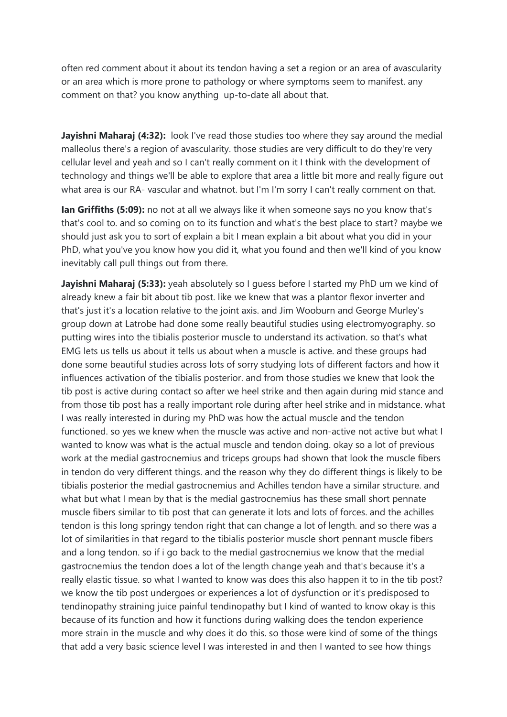often red comment about it about its tendon having a set a region or an area of avascularity or an area which is more prone to pathology or where symptoms seem to manifest. any comment on that? you know anything up-to-date all about that.

Jayishni Maharaj (4:32): look I've read those studies too where they say around the medial malleolus there's a region of avascularity. those studies are very difficult to do they're very cellular level and yeah and so I can't really comment on it I think with the development of technology and things we'll be able to explore that area a little bit more and really figure out what area is our RA- vascular and whatnot. but I'm I'm sorry I can't really comment on that.

Ian Griffiths (5:09): no not at all we always like it when someone says no you know that's that's cool to. and so coming on to its function and what's the best place to start? maybe we should just ask you to sort of explain a bit I mean explain a bit about what you did in your PhD, what you've you know how you did it, what you found and then we'll kind of you know inevitably call pull things out from there.

Jayishni Maharaj (5:33): yeah absolutely so I quess before I started my PhD um we kind of already knew a fair bit about tib post. like we knew that was a plantor flexor inverter and that's just it's a location relative to the joint axis. and Jim Wooburn and George Murley's group down at Latrobe had done some really beautiful studies using electromyography. so putting wires into the tibialis posterior muscle to understand its activation. so that's what EMG lets us tells us about it tells us about when a muscle is active. and these groups had done some beautiful studies across lots of sorry studying lots of different factors and how it influences activation of the tibialis posterior. and from those studies we knew that look the tib post is active during contact so after we heel strike and then again during mid stance and from those tib post has a really important role during after heel strike and in midstance. what I was really interested in during my PhD was how the actual muscle and the tendon functioned. so yes we knew when the muscle was active and non-active not active but what I wanted to know was what is the actual muscle and tendon doing. okay so a lot of previous work at the medial gastrocnemius and triceps groups had shown that look the muscle fibers in tendon do very different things. and the reason why they do different things is likely to be tibialis posterior the medial gastrocnemius and Achilles tendon have a similar structure. and what but what I mean by that is the medial gastrocnemius has these small short pennate muscle fibers similar to tib post that can generate it lots and lots of forces. and the achilles tendon is this long springy tendon right that can change a lot of length. and so there was a lot of similarities in that regard to the tibialis posterior muscle short pennant muscle fibers and a long tendon. so if i go back to the medial gastrocnemius we know that the medial gastrocnemius the tendon does a lot of the length change yeah and that's because it's a really elastic tissue. so what I wanted to know was does this also happen it to in the tib post? we know the tib post undergoes or experiences a lot of dysfunction or it's predisposed to tendinopathy straining juice painful tendinopathy but I kind of wanted to know okay is this because of its function and how it functions during walking does the tendon experience more strain in the muscle and why does it do this. so those were kind of some of the things that add a very basic science level I was interested in and then I wanted to see how things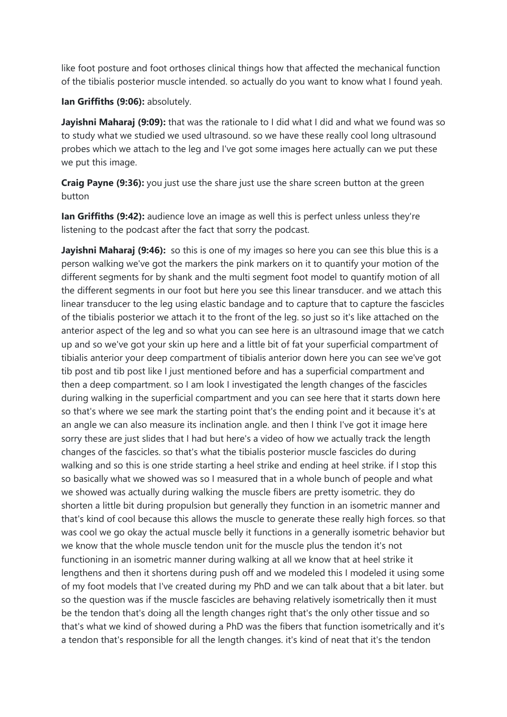like foot posture and foot orthoses clinical things how that affected the mechanical function of the tibialis posterior muscle intended. so actually do you want to know what I found yeah.

Ian Griffiths (9:06): absolutely.

Jayishni Maharaj (9:09): that was the rationale to I did what I did and what we found was so to study what we studied we used ultrasound. so we have these really cool long ultrasound probes which we attach to the leg and I've got some images here actually can we put these we put this image.

Craig Payne (9:36): you just use the share just use the share screen button at the green button

Ian Griffiths (9:42): audience love an image as well this is perfect unless unless they're listening to the podcast after the fact that sorry the podcast.

Javishni Maharaj (9:46): so this is one of my images so here you can see this blue this is a person walking we've got the markers the pink markers on it to quantify your motion of the different segments for by shank and the multi segment foot model to quantify motion of all the different segments in our foot but here you see this linear transducer. and we attach this linear transducer to the leg using elastic bandage and to capture that to capture the fascicles of the tibialis posterior we attach it to the front of the leg. so just so it's like attached on the anterior aspect of the leg and so what you can see here is an ultrasound image that we catch up and so we've got your skin up here and a little bit of fat your superficial compartment of tibialis anterior your deep compartment of tibialis anterior down here you can see we've got tib post and tib post like I just mentioned before and has a superficial compartment and then a deep compartment. so I am look I investigated the length changes of the fascicles during walking in the superficial compartment and you can see here that it starts down here so that's where we see mark the starting point that's the ending point and it because it's at an angle we can also measure its inclination angle. and then I think I've got it image here sorry these are just slides that I had but here's a video of how we actually track the length changes of the fascicles. so that's what the tibialis posterior muscle fascicles do during walking and so this is one stride starting a heel strike and ending at heel strike. if I stop this so basically what we showed was so I measured that in a whole bunch of people and what we showed was actually during walking the muscle fibers are pretty isometric. they do shorten a little bit during propulsion but generally they function in an isometric manner and that's kind of cool because this allows the muscle to generate these really high forces. so that was cool we go okay the actual muscle belly it functions in a generally isometric behavior but we know that the whole muscle tendon unit for the muscle plus the tendon it's not functioning in an isometric manner during walking at all we know that at heel strike it lengthens and then it shortens during push off and we modeled this I modeled it using some of my foot models that I've created during my PhD and we can talk about that a bit later. but so the question was if the muscle fascicles are behaving relatively isometrically then it must be the tendon that's doing all the length changes right that's the only other tissue and so that's what we kind of showed during a PhD was the fibers that function isometrically and it's a tendon that's responsible for all the length changes. it's kind of neat that it's the tendon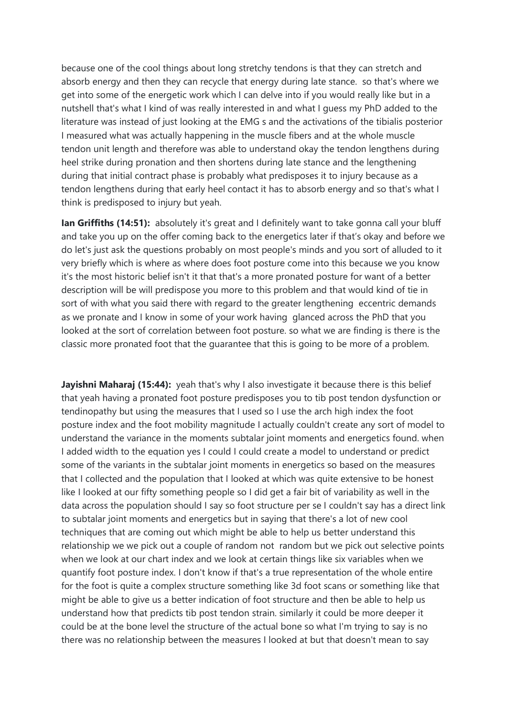because one of the cool things about long stretchy tendons is that they can stretch and absorb energy and then they can recycle that energy during late stance. so that's where we get into some of the energetic work which I can delve into if you would really like but in a nutshell that's what I kind of was really interested in and what I guess my PhD added to the literature was instead of just looking at the EMG s and the activations of the tibialis posterior I measured what was actually happening in the muscle fibers and at the whole muscle tendon unit length and therefore was able to understand okay the tendon lengthens during heel strike during pronation and then shortens during late stance and the lengthening during that initial contract phase is probably what predisposes it to injury because as a tendon lengthens during that early heel contact it has to absorb energy and so that's what I think is predisposed to injury but yeah.

Ian Griffiths (14:51): absolutely it's great and I definitely want to take gonna call your bluff and take you up on the offer coming back to the energetics later if that's okay and before we do let's just ask the questions probably on most people's minds and you sort of alluded to it very briefly which is where as where does foot posture come into this because we you know it's the most historic belief isn't it that that's a more pronated posture for want of a better description will be will predispose you more to this problem and that would kind of tie in sort of with what you said there with regard to the greater lengthening eccentric demands as we pronate and I know in some of your work having glanced across the PhD that you looked at the sort of correlation between foot posture. so what we are finding is there is the classic more pronated foot that the guarantee that this is going to be more of a problem.

**Jayishni Maharaj (15:44):** yeah that's why I also investigate it because there is this belief that yeah having a pronated foot posture predisposes you to tib post tendon dysfunction or tendinopathy but using the measures that I used so I use the arch high index the foot posture index and the foot mobility magnitude I actually couldn't create any sort of model to understand the variance in the moments subtalar joint moments and energetics found. when I added width to the equation yes I could I could create a model to understand or predict some of the variants in the subtalar joint moments in energetics so based on the measures that I collected and the population that I looked at which was quite extensive to be honest like I looked at our fifty something people so I did get a fair bit of variability as well in the data across the population should I say so foot structure per se I couldn't say has a direct link to subtalar joint moments and energetics but in saying that there's a lot of new cool techniques that are coming out which might be able to help us better understand this relationship we we pick out a couple of random not random but we pick out selective points when we look at our chart index and we look at certain things like six variables when we quantify foot posture index. I don't know if that's a true representation of the whole entire for the foot is quite a complex structure something like 3d foot scans or something like that might be able to give us a better indication of foot structure and then be able to help us understand how that predicts tib post tendon strain. similarly it could be more deeper it could be at the bone level the structure of the actual bone so what I'm trying to say is no there was no relationship between the measures I looked at but that doesn't mean to say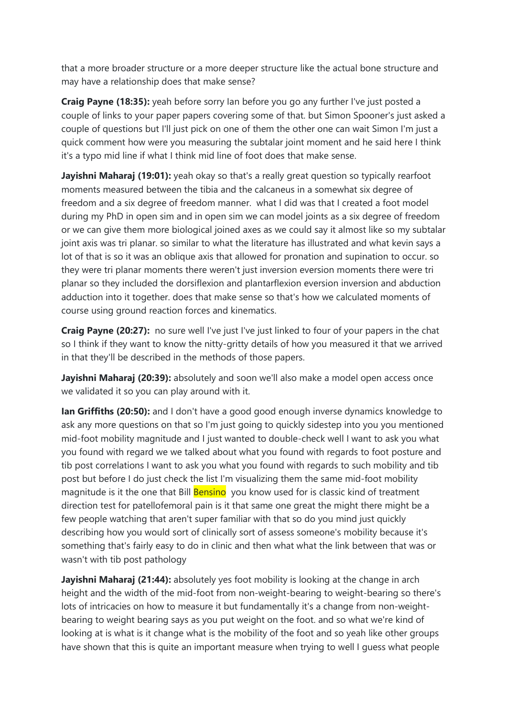that a more broader structure or a more deeper structure like the actual bone structure and may have a relationship does that make sense?

Craig Payne (18:35): yeah before sorry Ian before you go any further I've just posted a couple of links to your paper papers covering some of that. but Simon Spooner's just asked a couple of questions but I'll just pick on one of them the other one can wait Simon I'm just a quick comment how were you measuring the subtalar joint moment and he said here I think it's a typo mid line if what I think mid line of foot does that make sense.

Jayishni Maharaj (19:01): yeah okay so that's a really great question so typically rearfoot moments measured between the tibia and the calcaneus in a somewhat six degree of freedom and a six degree of freedom manner. what I did was that I created a foot model during my PhD in open sim and in open sim we can model joints as a six degree of freedom or we can give them more biological joined axes as we could say it almost like so my subtalar joint axis was tri planar. so similar to what the literature has illustrated and what kevin says a lot of that is so it was an oblique axis that allowed for pronation and supination to occur. so they were tri planar moments there weren't just inversion eversion moments there were tri planar so they included the dorsiflexion and plantarflexion eversion inversion and abduction adduction into it together. does that make sense so that's how we calculated moments of course using ground reaction forces and kinematics.

Craig Payne (20:27): no sure well I've just I've just linked to four of your papers in the chat so I think if they want to know the nitty-gritty details of how you measured it that we arrived in that they'll be described in the methods of those papers.

Javishni Maharaj (20:39): absolutely and soon we'll also make a model open access once we validated it so you can play around with it.

Ian Griffiths (20:50): and I don't have a good good enough inverse dynamics knowledge to ask any more questions on that so I'm just going to quickly sidestep into you you mentioned mid-foot mobility magnitude and I just wanted to double-check well I want to ask you what you found with regard we we talked about what you found with regards to foot posture and tib post correlations I want to ask you what you found with regards to such mobility and tib post but before I do just check the list I'm visualizing them the same mid-foot mobility magnitude is it the one that Bill **Bensino** you know used for is classic kind of treatment direction test for patellofemoral pain is it that same one great the might there might be a few people watching that aren't super familiar with that so do you mind just quickly describing how you would sort of clinically sort of assess someone's mobility because it's something that's fairly easy to do in clinic and then what what the link between that was or wasn't with tib post pathology

Jayishni Maharaj (21:44): absolutely yes foot mobility is looking at the change in arch height and the width of the mid-foot from non-weight-bearing to weight-bearing so there's lots of intricacies on how to measure it but fundamentally it's a change from non-weightbearing to weight bearing says as you put weight on the foot. and so what we're kind of looking at is what is it change what is the mobility of the foot and so yeah like other groups have shown that this is quite an important measure when trying to well I guess what people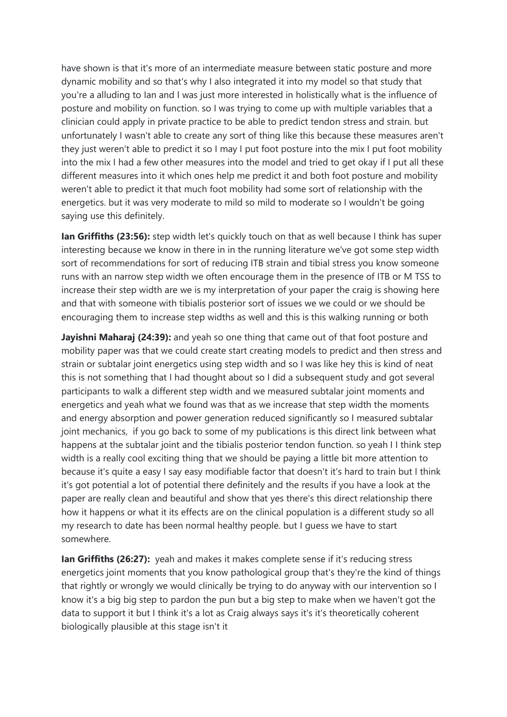have shown is that it's more of an intermediate measure between static posture and more dynamic mobility and so that's why I also integrated it into my model so that study that you're a alluding to Ian and I was just more interested in holistically what is the influence of posture and mobility on function. so I was trying to come up with multiple variables that a clinician could apply in private practice to be able to predict tendon stress and strain. but unfortunately I wasn't able to create any sort of thing like this because these measures aren't they just weren't able to predict it so I may I put foot posture into the mix I put foot mobility into the mix I had a few other measures into the model and tried to get okay if I put all these different measures into it which ones help me predict it and both foot posture and mobility weren't able to predict it that much foot mobility had some sort of relationship with the energetics. but it was very moderate to mild so mild to moderate so I wouldn't be going saying use this definitely.

**Ian Griffiths (23:56):** step width let's quickly touch on that as well because I think has super interesting because we know in there in in the running literature we've got some step width sort of recommendations for sort of reducing ITB strain and tibial stress you know someone runs with an narrow step width we often encourage them in the presence of ITB or M TSS to increase their step width are we is my interpretation of your paper the craig is showing here and that with someone with tibialis posterior sort of issues we we could or we should be encouraging them to increase step widths as well and this is this walking running or both

Jayishni Maharaj (24:39): and yeah so one thing that came out of that foot posture and mobility paper was that we could create start creating models to predict and then stress and strain or subtalar joint energetics using step width and so I was like hey this is kind of neat this is not something that I had thought about so I did a subsequent study and got several participants to walk a different step width and we measured subtalar joint moments and energetics and yeah what we found was that as we increase that step width the moments and energy absorption and power generation reduced significantly so I measured subtalar joint mechanics, if you go back to some of my publications is this direct link between what happens at the subtalar joint and the tibialis posterior tendon function. so yeah I I think step width is a really cool exciting thing that we should be paying a little bit more attention to because it's quite a easy I say easy modifiable factor that doesn't it's hard to train but I think it's got potential a lot of potential there definitely and the results if you have a look at the paper are really clean and beautiful and show that yes there's this direct relationship there how it happens or what it its effects are on the clinical population is a different study so all my research to date has been normal healthy people. but I guess we have to start somewhere.

Ian Griffiths (26:27): yeah and makes it makes complete sense if it's reducing stress energetics joint moments that you know pathological group that's they're the kind of things that rightly or wrongly we would clinically be trying to do anyway with our intervention so I know it's a big big step to pardon the pun but a big step to make when we haven't got the data to support it but I think it's a lot as Craig always says it's it's theoretically coherent biologically plausible at this stage isn't it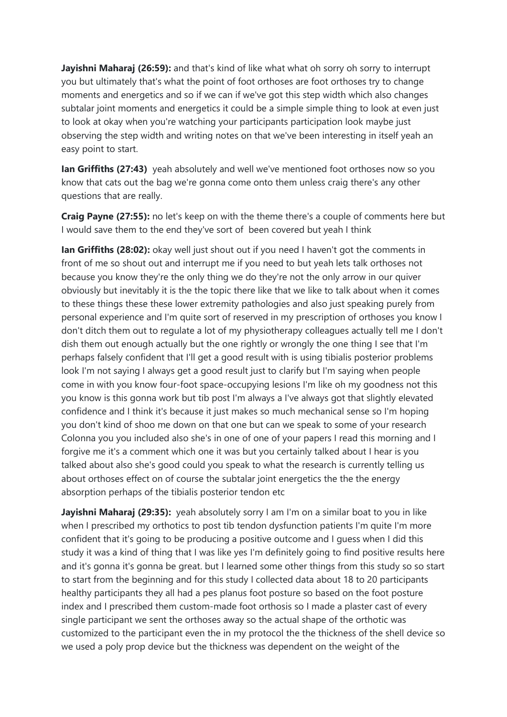Jayishni Maharaj (26:59): and that's kind of like what what oh sorry oh sorry to interrupt you but ultimately that's what the point of foot orthoses are foot orthoses try to change moments and energetics and so if we can if we've got this step width which also changes subtalar joint moments and energetics it could be a simple simple thing to look at even just to look at okay when you're watching your participants participation look maybe just observing the step width and writing notes on that we've been interesting in itself yeah an easy point to start.

Ian Griffiths (27:43) yeah absolutely and well we've mentioned foot orthoses now so you know that cats out the bag we're gonna come onto them unless craig there's any other questions that are really.

Craig Payne (27:55): no let's keep on with the theme there's a couple of comments here but I would save them to the end they've sort of been covered but yeah I think

**Ian Griffiths (28:02):** okay well just shout out if you need I haven't got the comments in front of me so shout out and interrupt me if you need to but yeah lets talk orthoses not because you know they're the only thing we do they're not the only arrow in our quiver obviously but inevitably it is the the topic there like that we like to talk about when it comes to these things these these lower extremity pathologies and also just speaking purely from personal experience and I'm quite sort of reserved in my prescription of orthoses you know I don't ditch them out to regulate a lot of my physiotherapy colleagues actually tell me I don't dish them out enough actually but the one rightly or wrongly the one thing I see that I'm perhaps falsely confident that I'll get a good result with is using tibialis posterior problems look I'm not saying I always get a good result just to clarify but I'm saying when people come in with you know four-foot space-occupying lesions I'm like oh my goodness not this you know is this gonna work but tib post I'm always a I've always got that slightly elevated confidence and I think it's because it just makes so much mechanical sense so I'm hoping you don't kind of shoo me down on that one but can we speak to some of your research Colonna you you included also she's in one of one of your papers I read this morning and I forgive me it's a comment which one it was but you certainly talked about I hear is you talked about also she's good could you speak to what the research is currently telling us about orthoses effect on of course the subtalar joint energetics the the the energy absorption perhaps of the tibialis posterior tendon etc

Jayishni Maharaj (29:35): yeah absolutely sorry I am I'm on a similar boat to you in like when I prescribed my orthotics to post tib tendon dysfunction patients I'm quite I'm more confident that it's going to be producing a positive outcome and I guess when I did this study it was a kind of thing that I was like yes I'm definitely going to find positive results here and it's gonna it's gonna be great. but I learned some other things from this study so so start to start from the beginning and for this study I collected data about 18 to 20 participants healthy participants they all had a pes planus foot posture so based on the foot posture index and I prescribed them custom-made foot orthosis so I made a plaster cast of every single participant we sent the orthoses away so the actual shape of the orthotic was customized to the participant even the in my protocol the the thickness of the shell device so we used a poly prop device but the thickness was dependent on the weight of the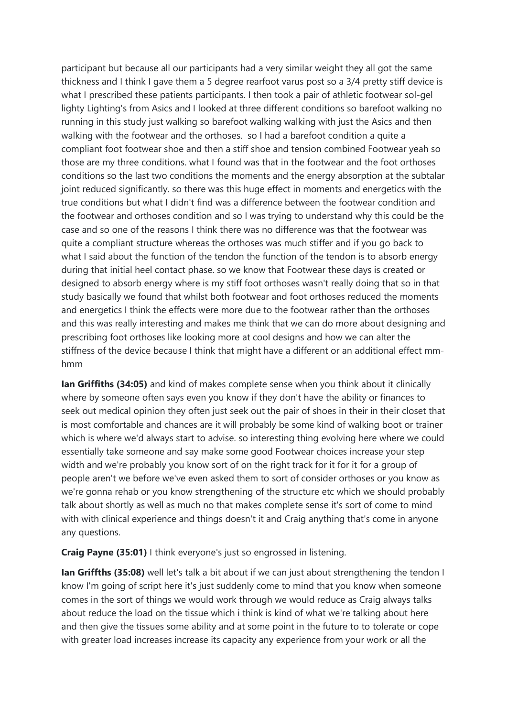participant but because all our participants had a very similar weight they all got the same thickness and I think I gave them a 5 degree rearfoot varus post so a 3/4 pretty stiff device is what I prescribed these patients participants. I then took a pair of athletic footwear sol-gel lighty Lighting's from Asics and I looked at three different conditions so barefoot walking no running in this study just walking so barefoot walking walking with just the Asics and then walking with the footwear and the orthoses. so I had a barefoot condition a quite a compliant foot footwear shoe and then a stiff shoe and tension combined Footwear yeah so those are my three conditions. what I found was that in the footwear and the foot orthoses conditions so the last two conditions the moments and the energy absorption at the subtalar joint reduced significantly. so there was this huge effect in moments and energetics with the true conditions but what I didn't find was a difference between the footwear condition and the footwear and orthoses condition and so I was trying to understand why this could be the case and so one of the reasons I think there was no difference was that the footwear was quite a compliant structure whereas the orthoses was much stiffer and if you go back to what I said about the function of the tendon the function of the tendon is to absorb energy during that initial heel contact phase. so we know that Footwear these days is created or designed to absorb energy where is my stiff foot orthoses wasn't really doing that so in that study basically we found that whilst both footwear and foot orthoses reduced the moments and energetics I think the effects were more due to the footwear rather than the orthoses and this was really interesting and makes me think that we can do more about designing and prescribing foot orthoses like looking more at cool designs and how we can alter the stiffness of the device because I think that might have a different or an additional effect mmhmm

**Ian Griffiths (34:05)** and kind of makes complete sense when you think about it clinically where by someone often says even you know if they don't have the ability or finances to seek out medical opinion they often just seek out the pair of shoes in their in their closet that is most comfortable and chances are it will probably be some kind of walking boot or trainer which is where we'd always start to advise. so interesting thing evolving here where we could essentially take someone and say make some good Footwear choices increase your step width and we're probably you know sort of on the right track for it for it for a group of people aren't we before we've even asked them to sort of consider orthoses or you know as we're gonna rehab or you know strengthening of the structure etc which we should probably talk about shortly as well as much no that makes complete sense it's sort of come to mind with with clinical experience and things doesn't it and Craig anything that's come in anyone any questions.

Craig Payne (35:01) I think everyone's just so engrossed in listening.

Ian Griffths (35:08) well let's talk a bit about if we can just about strengthening the tendon I know I'm going of script here it's just suddenly come to mind that you know when someone comes in the sort of things we would work through we would reduce as Craig always talks about reduce the load on the tissue which i think is kind of what we're talking about here and then give the tissues some ability and at some point in the future to to tolerate or cope with greater load increases increase its capacity any experience from your work or all the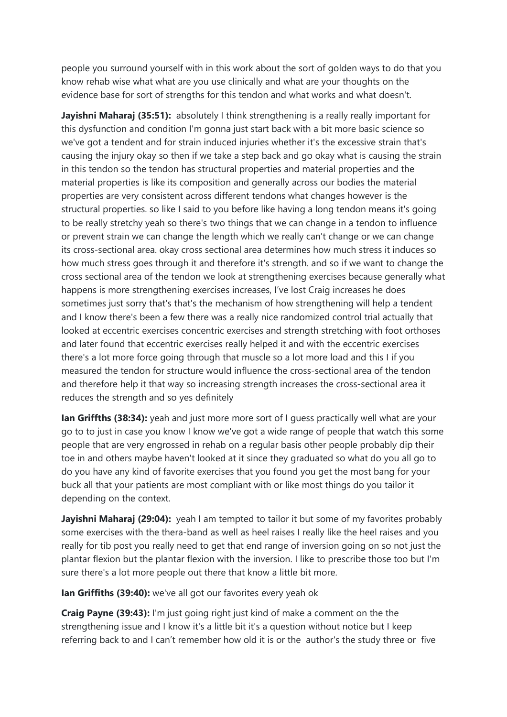people you surround yourself with in this work about the sort of golden ways to do that you know rehab wise what what are you use clinically and what are your thoughts on the evidence base for sort of strengths for this tendon and what works and what doesn't.

Jayishni Maharaj (35:51): absolutely I think strengthening is a really really important for this dysfunction and condition I'm gonna just start back with a bit more basic science so we've got a tendent and for strain induced injuries whether it's the excessive strain that's causing the injury okay so then if we take a step back and go okay what is causing the strain in this tendon so the tendon has structural properties and material properties and the material properties is like its composition and generally across our bodies the material properties are very consistent across different tendons what changes however is the structural properties. so like I said to you before like having a long tendon means it's going to be really stretchy yeah so there's two things that we can change in a tendon to influence or prevent strain we can change the length which we really can't change or we can change its cross-sectional area. okay cross sectional area determines how much stress it induces so how much stress goes through it and therefore it's strength. and so if we want to change the cross sectional area of the tendon we look at strengthening exercises because generally what happens is more strengthening exercises increases, I've lost Craig increases he does sometimes just sorry that's that's the mechanism of how strengthening will help a tendent and I know there's been a few there was a really nice randomized control trial actually that looked at eccentric exercises concentric exercises and strength stretching with foot orthoses and later found that eccentric exercises really helped it and with the eccentric exercises there's a lot more force going through that muscle so a lot more load and this I if you measured the tendon for structure would influence the cross-sectional area of the tendon and therefore help it that way so increasing strength increases the cross-sectional area it reduces the strength and so yes definitely

Ian Griffths (38:34): yeah and just more more sort of I guess practically well what are your go to to just in case you know I know we've got a wide range of people that watch this some people that are very engrossed in rehab on a regular basis other people probably dip their toe in and others maybe haven't looked at it since they graduated so what do you all go to do you have any kind of favorite exercises that you found you get the most bang for your buck all that your patients are most compliant with or like most things do you tailor it depending on the context.

Jayishni Maharaj (29:04): yeah I am tempted to tailor it but some of my favorites probably some exercises with the thera-band as well as heel raises I really like the heel raises and you really for tib post you really need to get that end range of inversion going on so not just the plantar flexion but the plantar flexion with the inversion. I like to prescribe those too but I'm sure there's a lot more people out there that know a little bit more.

Ian Griffiths (39:40): we've all got our favorites every yeah ok

Craig Payne (39:43): I'm just going right just kind of make a comment on the the strengthening issue and I know it's a little bit it's a question without notice but I keep referring back to and I can't remember how old it is or the author's the study three or five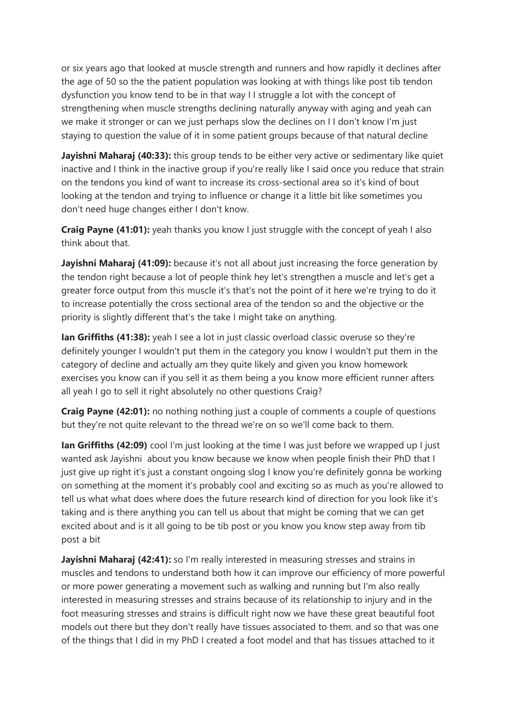or six years ago that looked at muscle strength and runners and how rapidly it declines after the age of 50 so the the patient population was looking at with things like post tib tendon dysfunction you know tend to be in that way I I struggle a lot with the concept of strengthening when muscle strengths declining naturally anyway with aging and yeah can we make it stronger or can we just perhaps slow the declines on I I don't know I'm just staying to question the value of it in some patient groups because of that natural decline

Javishni Maharaj (40:33): this group tends to be either very active or sedimentary like quiet inactive and I think in the inactive group if you're really like I said once you reduce that strain on the tendons you kind of want to increase its cross-sectional area so it's kind of bout looking at the tendon and trying to influence or change it a little bit like sometimes you don't need huge changes either I don't know.

**Craig Payne (41:01):** yeah thanks you know I just struggle with the concept of yeah I also think about that.

Jayishni Maharaj (41:09): because it's not all about just increasing the force generation by the tendon right because a lot of people think hey let's strengthen a muscle and let's get a greater force output from this muscle it's that's not the point of it here we're trying to do it to increase potentially the cross sectional area of the tendon so and the objective or the priority is slightly different that's the take I might take on anything.

Ian Griffiths (41:38): yeah I see a lot in just classic overload classic overuse so they're definitely younger I wouldn't put them in the category you know I wouldn't put them in the category of decline and actually am they quite likely and given you know homework exercises you know can if you sell it as them being a you know more efficient runner afters all yeah I go to sell it right absolutely no other questions Craig?

Craig Payne (42:01): no nothing nothing just a couple of comments a couple of questions but they're not quite relevant to the thread we're on so we'll come back to them.

Ian Griffiths (42:09) cool I'm just looking at the time I was just before we wrapped up I just wanted ask Jayishni about you know because we know when people finish their PhD that I just give up right it's just a constant ongoing slog I know you're definitely gonna be working on something at the moment it's probably cool and exciting so as much as you're allowed to tell us what what does where does the future research kind of direction for you look like it's taking and is there anything you can tell us about that might be coming that we can get excited about and is it all going to be tib post or you know you know step away from tib post a bit

Jayishni Maharaj (42:41): so I'm really interested in measuring stresses and strains in muscles and tendons to understand both how it can improve our efficiency of more powerful or more power generating a movement such as walking and running but I'm also really interested in measuring stresses and strains because of its relationship to injury and in the foot measuring stresses and strains is difficult right now we have these great beautiful foot models out there but they don't really have tissues associated to them. and so that was one of the things that I did in my PhD I created a foot model and that has tissues attached to it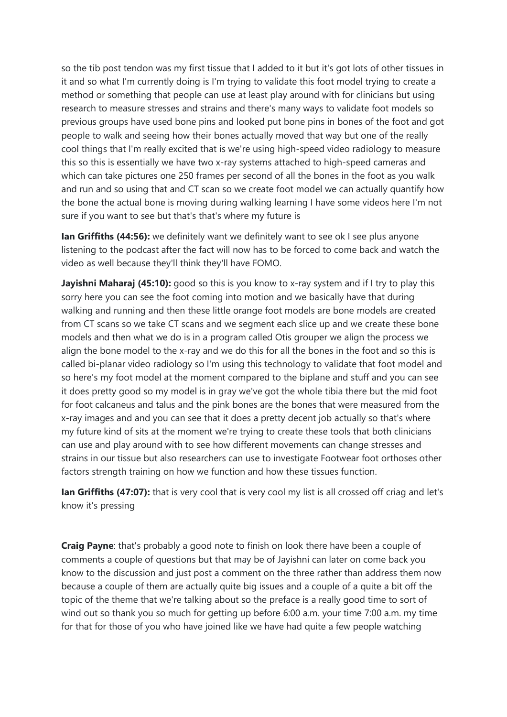so the tib post tendon was my first tissue that I added to it but it's got lots of other tissues in it and so what I'm currently doing is I'm trying to validate this foot model trying to create a method or something that people can use at least play around with for clinicians but using research to measure stresses and strains and there's many ways to validate foot models so previous groups have used bone pins and looked put bone pins in bones of the foot and got people to walk and seeing how their bones actually moved that way but one of the really cool things that I'm really excited that is we're using high-speed video radiology to measure this so this is essentially we have two x-ray systems attached to high-speed cameras and which can take pictures one 250 frames per second of all the bones in the foot as you walk and run and so using that and CT scan so we create foot model we can actually quantify how the bone the actual bone is moving during walking learning I have some videos here I'm not sure if you want to see but that's that's where my future is

Ian Griffiths (44:56): we definitely want we definitely want to see ok I see plus anyone listening to the podcast after the fact will now has to be forced to come back and watch the video as well because they'll think they'll have FOMO.

Jayishni Maharaj (45:10): good so this is you know to x-ray system and if I try to play this sorry here you can see the foot coming into motion and we basically have that during walking and running and then these little orange foot models are bone models are created from CT scans so we take CT scans and we segment each slice up and we create these bone models and then what we do is in a program called Otis grouper we align the process we align the bone model to the x-ray and we do this for all the bones in the foot and so this is called bi-planar video radiology so I'm using this technology to validate that foot model and so here's my foot model at the moment compared to the biplane and stuff and you can see it does pretty good so my model is in gray we've got the whole tibia there but the mid foot for foot calcaneus and talus and the pink bones are the bones that were measured from the x-ray images and and you can see that it does a pretty decent job actually so that's where my future kind of sits at the moment we're trying to create these tools that both clinicians can use and play around with to see how different movements can change stresses and strains in our tissue but also researchers can use to investigate Footwear foot orthoses other factors strength training on how we function and how these tissues function.

Ian Griffiths (47:07): that is very cool that is very cool my list is all crossed off criag and let's know it's pressing

**Craig Payne:** that's probably a good note to finish on look there have been a couple of comments a couple of questions but that may be of Jayishni can later on come back you know to the discussion and just post a comment on the three rather than address them now because a couple of them are actually quite big issues and a couple of a quite a bit off the topic of the theme that we're talking about so the preface is a really good time to sort of wind out so thank you so much for getting up before 6:00 a.m. your time 7:00 a.m. my time for that for those of you who have joined like we have had quite a few people watching